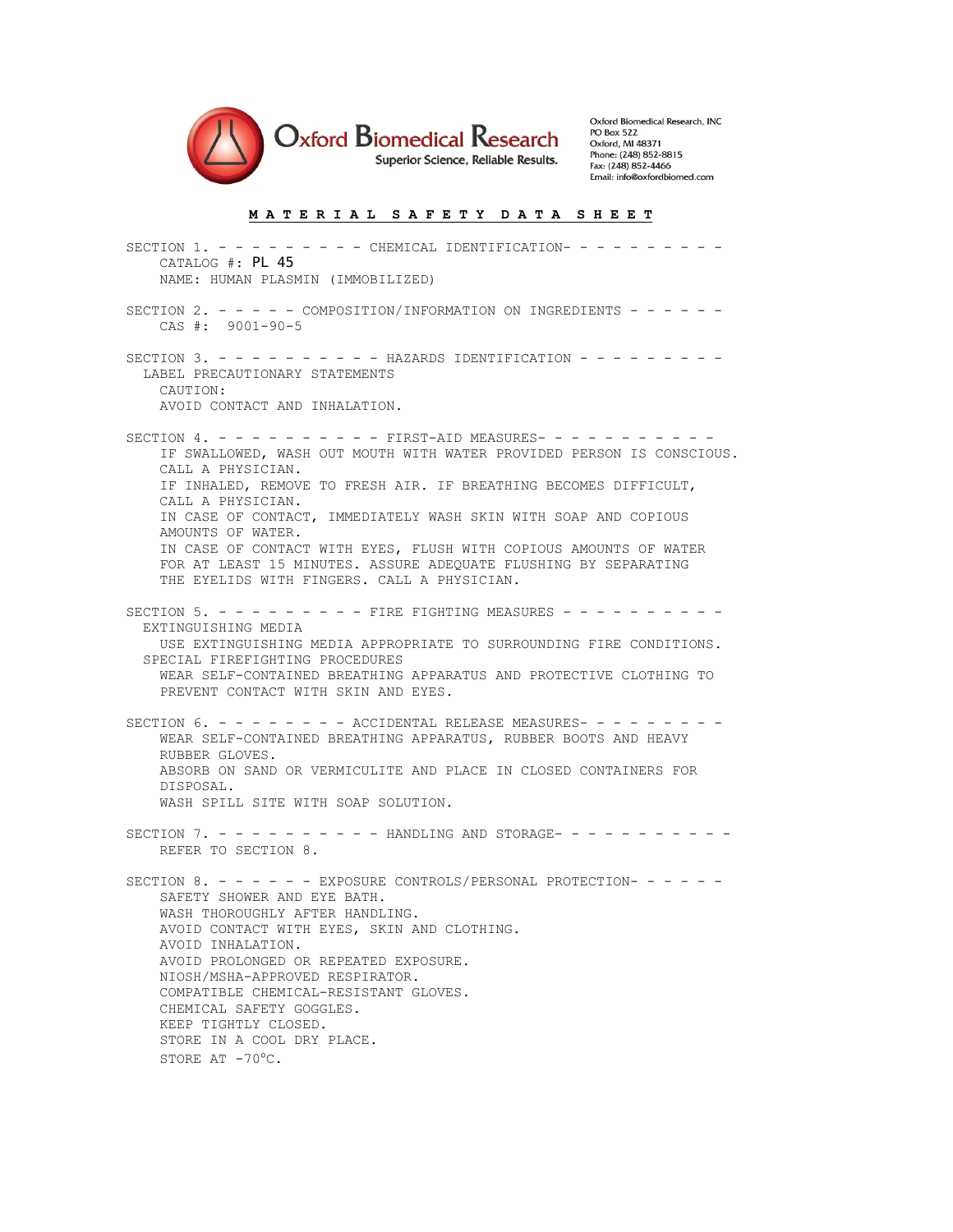

Oxford Biomedical Research, INC **PO Box 522** Oxford, MI 48371 Phone: (248) 852-8815 Fax: (248) 852-4466 Email: info@oxfordbiomed.com

## **M A T E R I A L S A F E T Y D A T A S H E E T**

SECTION 1. - - - - - - - - CHEMICAL IDENTIFICATION- - - - - - - - - - CATALOG #: PL 45 NAME: HUMAN PLASMIN (IMMOBILIZED) SECTION 2. - - - - - COMPOSITION/INFORMATION ON INGREDIENTS - - - - - - CAS #: 9001-90-5 SECTION 3. - - - - - - - - - - HAZARDS IDENTIFICATION - - - - - - - - - LABEL PRECAUTIONARY STATEMENTS CAUTION: AVOID CONTACT AND INHALATION. SECTION 4. - - - - - - - - - FIRST-AID MEASURES- - - - - - - - - - - IF SWALLOWED, WASH OUT MOUTH WITH WATER PROVIDED PERSON IS CONSCIOUS. CALL A PHYSICIAN. IF INHALED, REMOVE TO FRESH AIR. IF BREATHING BECOMES DIFFICULT, CALL A PHYSICIAN. IN CASE OF CONTACT, IMMEDIATELY WASH SKIN WITH SOAP AND COPIOUS AMOUNTS OF WATER. IN CASE OF CONTACT WITH EYES, FLUSH WITH COPIOUS AMOUNTS OF WATER FOR AT LEAST 15 MINUTES. ASSURE ADEQUATE FLUSHING BY SEPARATING THE EYELIDS WITH FINGERS. CALL A PHYSICIAN. SECTION 5. - - - - - - - - FIRE FIGHTING MEASURES - - - - - - - - - - EXTINGUISHING MEDIA USE EXTINGUISHING MEDIA APPROPRIATE TO SURROUNDING FIRE CONDITIONS. SPECIAL FIREFIGHTING PROCEDURES WEAR SELF-CONTAINED BREATHING APPARATUS AND PROTECTIVE CLOTHING TO PREVENT CONTACT WITH SKIN AND EYES. SECTION  $6. - - - - - - -$  ACCIDENTAL RELEASE MEASURES- - - - - - - - WEAR SELF-CONTAINED BREATHING APPARATUS, RUBBER BOOTS AND HEAVY RUBBER GLOVES. ABSORB ON SAND OR VERMICULITE AND PLACE IN CLOSED CONTAINERS FOR DISPOSAL. WASH SPILL SITE WITH SOAP SOLUTION. SECTION 7. - - - - - - - - - - HANDLING AND STORAGE- - - - - - - - - - - REFER TO SECTION 8. SECTION 8. - - - - - - EXPOSURE CONTROLS/PERSONAL PROTECTION- - - - - - SAFETY SHOWER AND EYE BATH. WASH THOROUGHLY AFTER HANDLING. AVOID CONTACT WITH EYES, SKIN AND CLOTHING. AVOID INHALATION. AVOID PROLONGED OR REPEATED EXPOSURE. NIOSH/MSHA-APPROVED RESPIRATOR. COMPATIBLE CHEMICAL-RESISTANT GLOVES. CHEMICAL SAFETY GOGGLES. KEEP TIGHTLY CLOSED. STORE IN A COOL DRY PLACE. STORE AT -70°C.